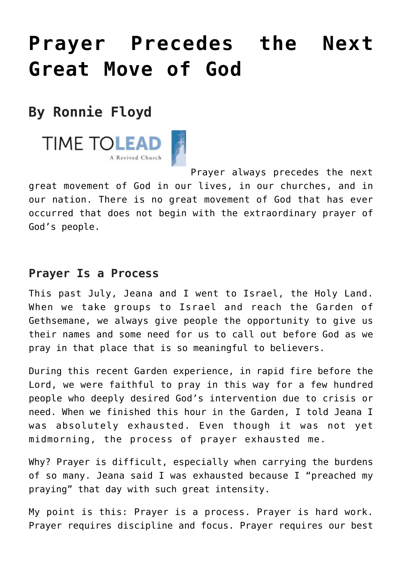## **[Prayer Precedes the Next](https://www.prayerleader.com/prayer-precedes-the-next-great-move-of-god/) [Great Move of God](https://www.prayerleader.com/prayer-precedes-the-next-great-move-of-god/)**

## **By Ronnie Floyd**



Prayer always precedes the next great movement of God in our lives, in our churches, and in our nation. There is no great movement of God that has ever occurred that does not begin with the extraordinary prayer of God's people.

## **Prayer Is a Process**

This past July, Jeana and I went to Israel, the Holy Land. When we take groups to Israel and reach the Garden of Gethsemane, we always give people the opportunity to give us their names and some need for us to call out before God as we pray in that place that is so meaningful to believers.

During this recent Garden experience, in rapid fire before the Lord, we were faithful to pray in this way for a few hundred people who deeply desired God's intervention due to crisis or need. When we finished this hour in the Garden, I told Jeana I was absolutely exhausted. Even though it was not yet midmorning, the process of prayer exhausted me.

Why? Prayer is difficult, especially when carrying the burdens of so many. Jeana said I was exhausted because I "preached my praying" that day with such great intensity.

My point is this: Prayer is a process. Prayer is hard work. Prayer requires discipline and focus. Prayer requires our best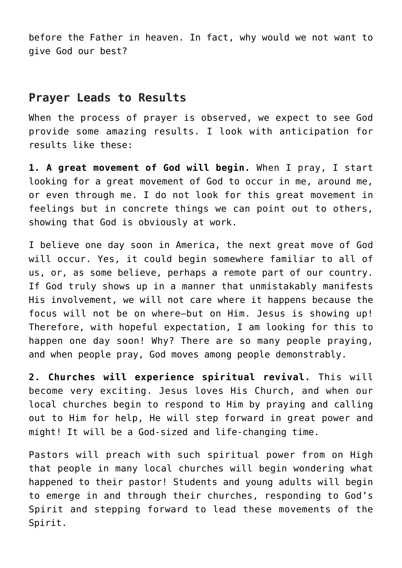before the Father in heaven. In fact, why would we not want to give God our best?

## **Prayer Leads to Results**

When the process of prayer is observed, we expect to see God provide some amazing results. I look with anticipation for results like these:

**1. A great movement of God will begin.** When I pray, I start looking for a great movement of God to occur in me, around me, or even through me. I do not look for this great movement in feelings but in concrete things we can point out to others, showing that God is obviously at work.

I believe one day soon in America, the next great move of God will occur. Yes, it could begin somewhere familiar to all of us, or, as some believe, perhaps a remote part of our country. If God truly shows up in a manner that unmistakably manifests His involvement, we will not care where it happens because the focus will not be on where—but on Him. Jesus is showing up! Therefore, with hopeful expectation, I am looking for this to happen one day soon! Why? There are so many people praying, and when people pray, God moves among people demonstrably.

**2. Churches will experience spiritual revival.** This will become very exciting. Jesus loves His Church, and when our local churches begin to respond to Him by praying and calling out to Him for help, He will step forward in great power and might! It will be a God-sized and life-changing time.

Pastors will preach with such spiritual power from on High that people in many local churches will begin wondering what happened to their pastor! Students and young adults will begin to emerge in and through their churches, responding to God's Spirit and stepping forward to lead these movements of the Spirit.